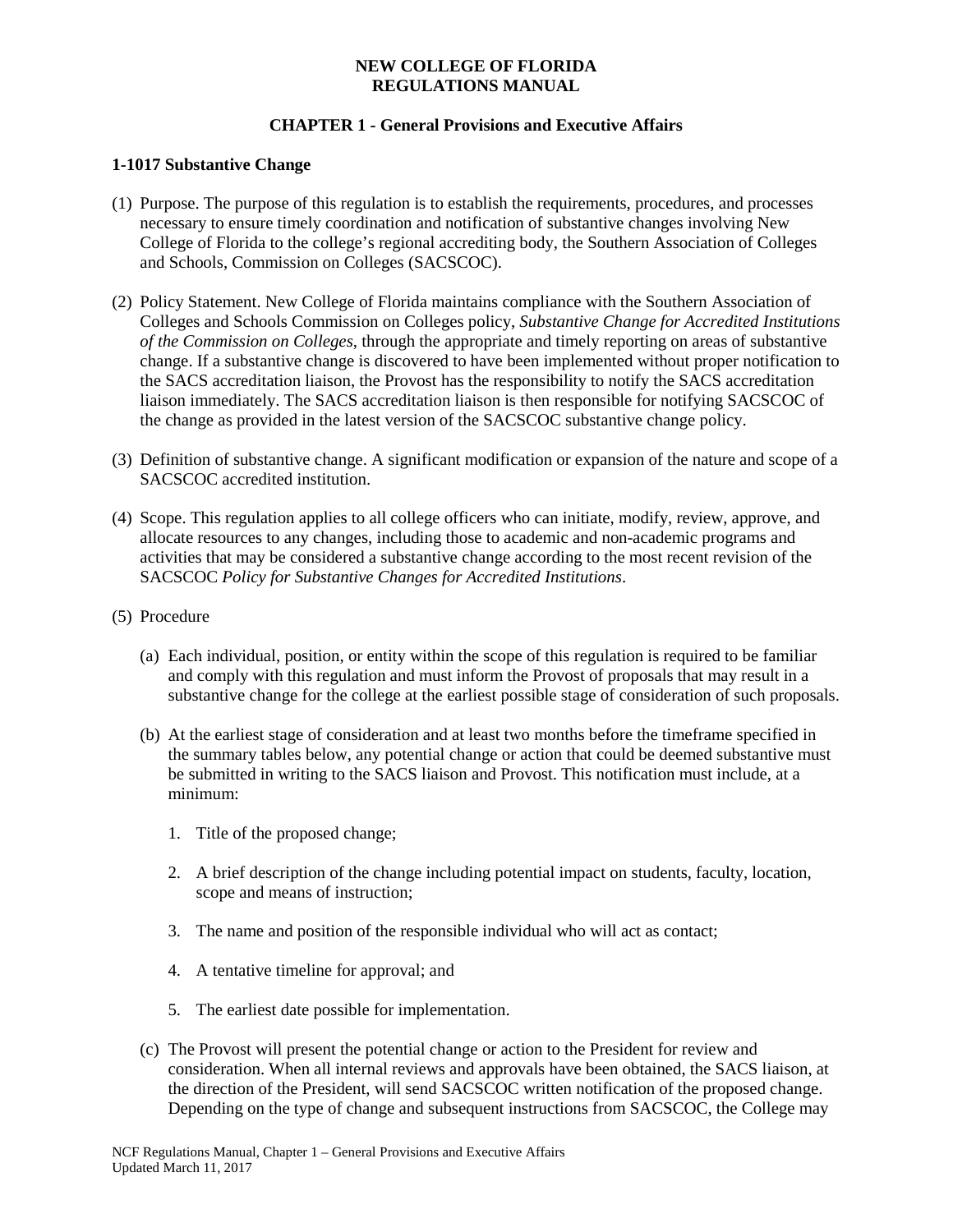## **CHAPTER 1 - General Provisions and Executive Affairs**

#### **1-1017 Substantive Change**

- (1) Purpose. The purpose of this regulation is to establish the requirements, procedures, and processes necessary to ensure timely coordination and notification of substantive changes involving New College of Florida to the college's regional accrediting body, the Southern Association of Colleges and Schools, Commission on Colleges (SACSCOC).
- (2) Policy Statement. New College of Florida maintains compliance with the Southern Association of Colleges and Schools Commission on Colleges policy, *Substantive Change for Accredited Institutions of the Commission on Colleges*, through the appropriate and timely reporting on areas of substantive change. If a substantive change is discovered to have been implemented without proper notification to the SACS accreditation liaison, the Provost has the responsibility to notify the SACS accreditation liaison immediately. The SACS accreditation liaison is then responsible for notifying SACSCOC of the change as provided in the latest version of the SACSCOC substantive change policy.
- (3) Definition of substantive change. A significant modification or expansion of the nature and scope of a SACSCOC accredited institution.
- (4) Scope. This regulation applies to all college officers who can initiate, modify, review, approve, and allocate resources to any changes, including those to academic and non-academic programs and activities that may be considered a substantive change according to the most recent revision of the SACSCOC *Policy for Substantive Changes for Accredited Institutions*.
- (5) Procedure
	- (a) Each individual, position, or entity within the scope of this regulation is required to be familiar and comply with this regulation and must inform the Provost of proposals that may result in a substantive change for the college at the earliest possible stage of consideration of such proposals.
	- (b) At the earliest stage of consideration and at least two months before the timeframe specified in the summary tables below, any potential change or action that could be deemed substantive must be submitted in writing to the SACS liaison and Provost. This notification must include, at a minimum:
		- 1. Title of the proposed change;
		- 2. A brief description of the change including potential impact on students, faculty, location, scope and means of instruction;
		- 3. The name and position of the responsible individual who will act as contact;
		- 4. A tentative timeline for approval; and
		- 5. The earliest date possible for implementation.
	- (c) The Provost will present the potential change or action to the President for review and consideration. When all internal reviews and approvals have been obtained, the SACS liaison, at the direction of the President, will send SACSCOC written notification of the proposed change. Depending on the type of change and subsequent instructions from SACSCOC, the College may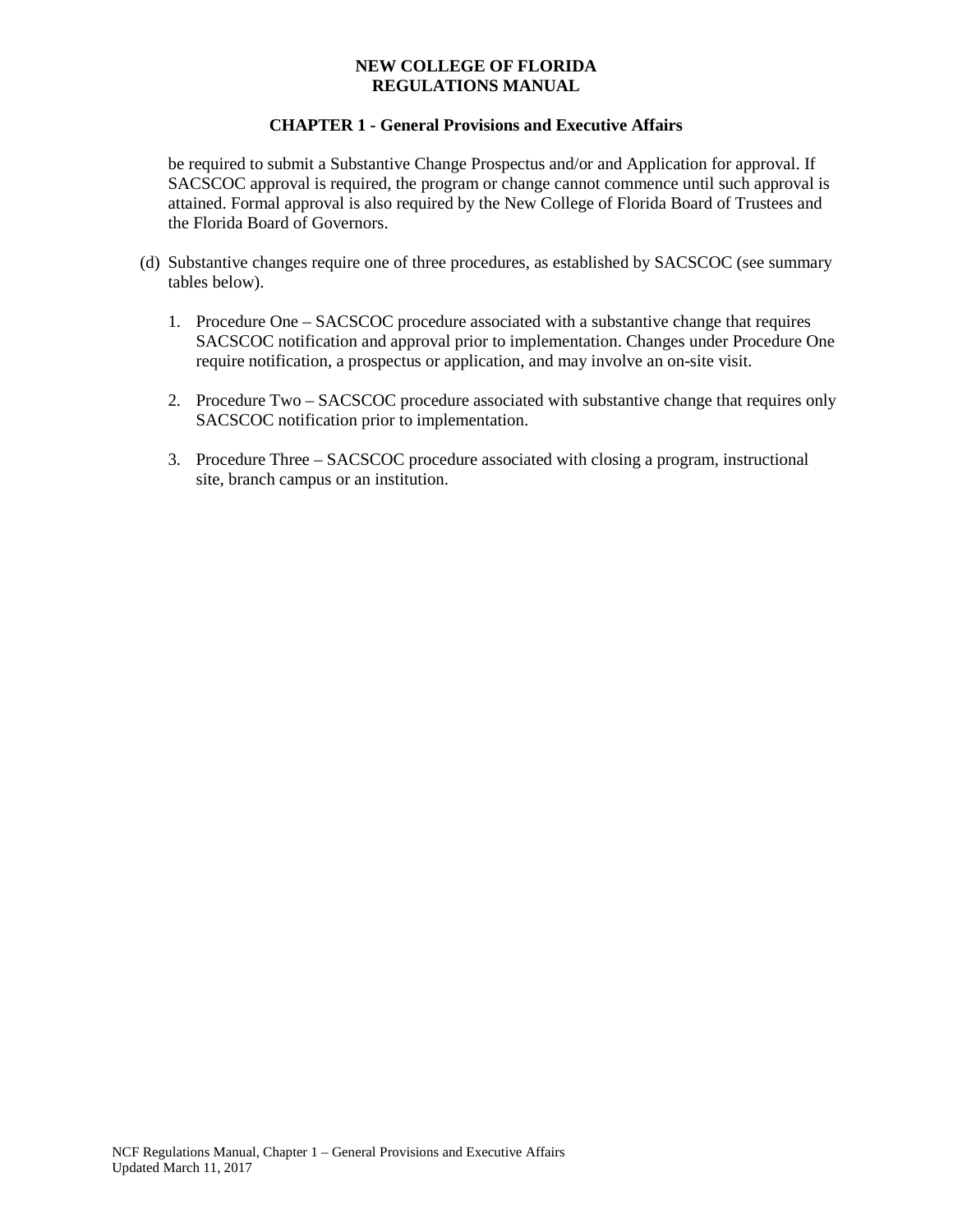#### **CHAPTER 1 - General Provisions and Executive Affairs**

be required to submit a Substantive Change Prospectus and/or and Application for approval. If SACSCOC approval is required, the program or change cannot commence until such approval is attained. Formal approval is also required by the New College of Florida Board of Trustees and the Florida Board of Governors.

- (d) Substantive changes require one of three procedures, as established by SACSCOC (see summary tables below).
	- 1. Procedure One SACSCOC procedure associated with a substantive change that requires SACSCOC notification and approval prior to implementation. Changes under Procedure One require notification, a prospectus or application, and may involve an on-site visit.
	- 2. Procedure Two SACSCOC procedure associated with substantive change that requires only SACSCOC notification prior to implementation.
	- 3. Procedure Three SACSCOC procedure associated with closing a program, instructional site, branch campus or an institution.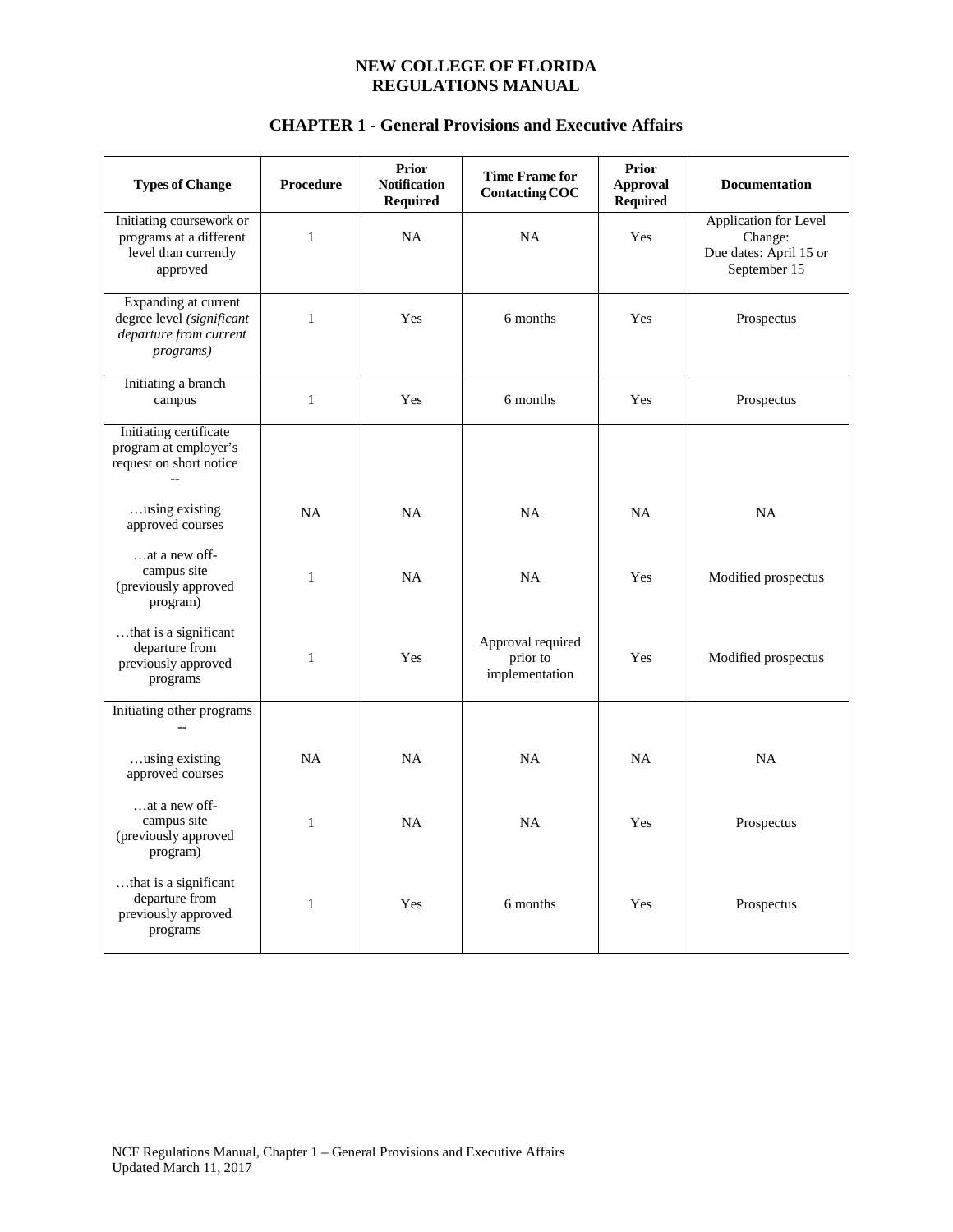| <b>Types of Change</b>                                                                           | Procedure    | <b>Prior</b><br><b>Notification</b><br><b>Required</b> | <b>Time Frame for</b><br><b>Contacting COC</b>  | <b>Prior</b><br><b>Approval</b><br><b>Required</b> | <b>Documentation</b>                                                       |
|--------------------------------------------------------------------------------------------------|--------------|--------------------------------------------------------|-------------------------------------------------|----------------------------------------------------|----------------------------------------------------------------------------|
| Initiating coursework or<br>programs at a different<br>level than currently<br>approved          | $\mathbf{1}$ | <b>NA</b>                                              | <b>NA</b>                                       | Yes                                                | Application for Level<br>Change:<br>Due dates: April 15 or<br>September 15 |
| Expanding at current<br>degree level (significant<br>departure from current<br><i>programs</i> ) | $\mathbf{1}$ | Yes                                                    | 6 months                                        | Yes                                                | Prospectus                                                                 |
| Initiating a branch<br>campus                                                                    | $\mathbf{1}$ | Yes                                                    | 6 months                                        | Yes                                                | Prospectus                                                                 |
| Initiating certificate<br>program at employer's<br>request on short notice                       |              |                                                        |                                                 |                                                    |                                                                            |
| using existing<br>approved courses                                                               | <b>NA</b>    | NA                                                     | <b>NA</b>                                       | <b>NA</b>                                          | <b>NA</b>                                                                  |
| at a new off-<br>campus site<br>(previously approved<br>program)                                 | $\mathbf{1}$ | NA                                                     | <b>NA</b>                                       | Yes                                                | Modified prospectus                                                        |
| that is a significant<br>departure from<br>previously approved<br>programs                       | 1            | Yes                                                    | Approval required<br>prior to<br>implementation | Yes                                                | Modified prospectus                                                        |
| Initiating other programs                                                                        |              |                                                        |                                                 |                                                    |                                                                            |
| using existing<br>approved courses                                                               | <b>NA</b>    | NA                                                     | <b>NA</b>                                       | NA                                                 | <b>NA</b>                                                                  |
| at a new off-<br>campus site<br>(previously approved<br>program)                                 | 1            | <b>NA</b>                                              | <b>NA</b>                                       | Yes                                                | Prospectus                                                                 |
| that is a significant<br>departure from<br>previously approved<br>programs                       | 1            | Yes                                                    | 6 months                                        | Yes                                                | Prospectus                                                                 |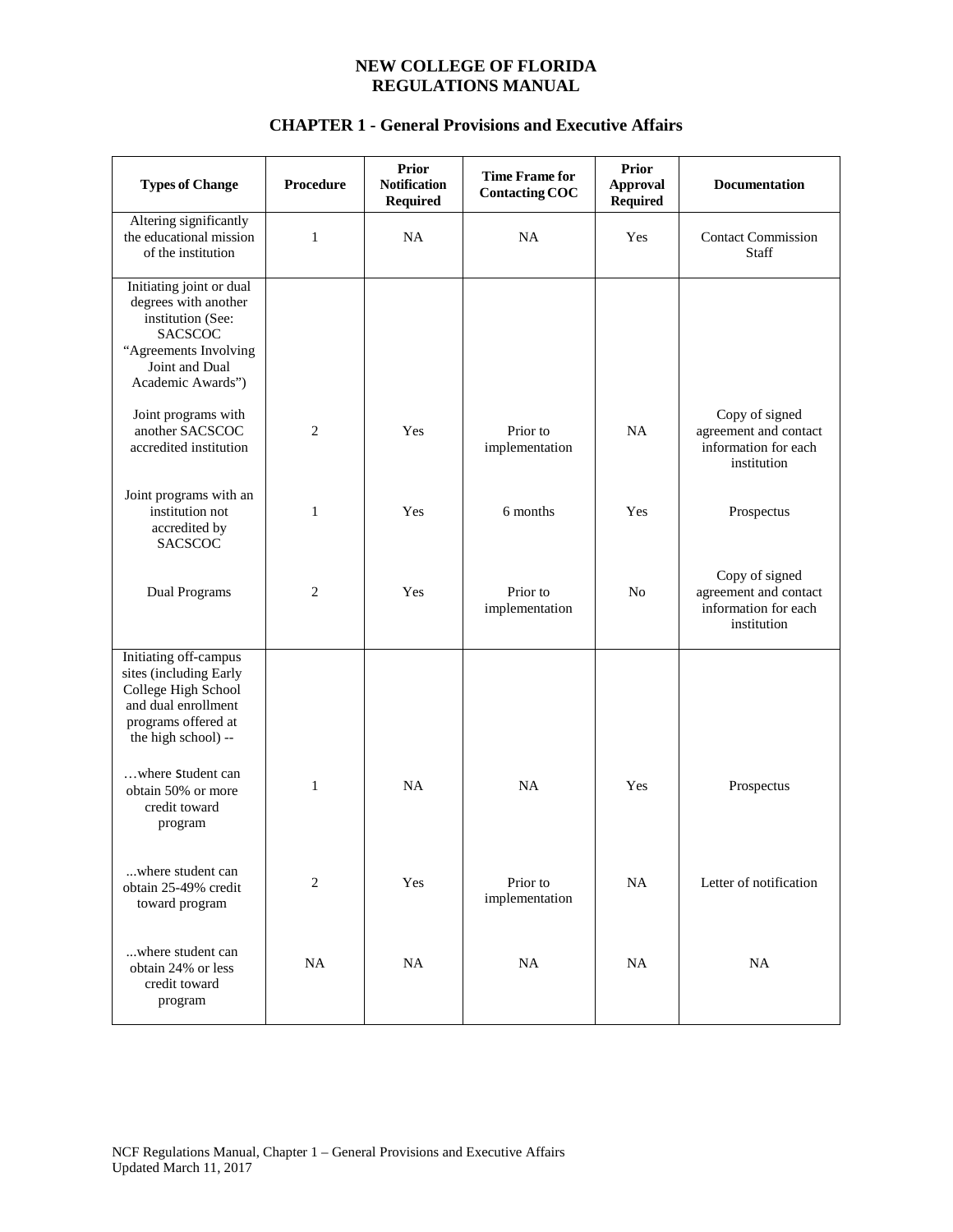| <b>Types of Change</b>                                                                                                                                  | Procedure      | <b>Prior</b><br><b>Notification</b><br><b>Required</b> | <b>Time Frame for</b><br><b>Contacting COC</b> | <b>Prior</b><br><b>Approval</b><br>Required | Documentation                                                                  |
|---------------------------------------------------------------------------------------------------------------------------------------------------------|----------------|--------------------------------------------------------|------------------------------------------------|---------------------------------------------|--------------------------------------------------------------------------------|
| Altering significantly<br>the educational mission<br>of the institution                                                                                 | 1              | NA                                                     | NA                                             | Yes                                         | <b>Contact Commission</b><br>Staff                                             |
| Initiating joint or dual<br>degrees with another<br>institution (See:<br><b>SACSCOC</b><br>"Agreements Involving<br>Joint and Dual<br>Academic Awards") |                |                                                        |                                                |                                             |                                                                                |
| Joint programs with<br>another SACSCOC<br>accredited institution                                                                                        | $\overline{c}$ | Yes                                                    | Prior to<br>implementation                     | NA                                          | Copy of signed<br>agreement and contact<br>information for each<br>institution |
| Joint programs with an<br>institution not<br>accredited by<br><b>SACSCOC</b>                                                                            | 1              | Yes                                                    | 6 months                                       | Yes                                         | Prospectus                                                                     |
| Dual Programs                                                                                                                                           | $\overline{2}$ | Yes                                                    | Prior to<br>implementation                     | N <sub>0</sub>                              | Copy of signed<br>agreement and contact<br>information for each<br>institution |
| Initiating off-campus<br>sites (including Early<br>College High School<br>and dual enrollment<br>programs offered at<br>the high school) --             |                |                                                        |                                                |                                             |                                                                                |
| where Student can<br>obtain 50% or more<br>credit toward<br>program                                                                                     | $\mathbf{1}$   | <b>NA</b>                                              | <b>NA</b>                                      | Yes                                         | Prospectus                                                                     |
| where student can<br>obtain 25-49% credit<br>toward program                                                                                             | $\overline{2}$ | Yes                                                    | Prior to<br>implementation                     | <b>NA</b>                                   | Letter of notification                                                         |
| where student can<br>obtain 24% or less<br>credit toward<br>program                                                                                     | <b>NA</b>      | <b>NA</b>                                              | $\rm NA$                                       | NA                                          | NA                                                                             |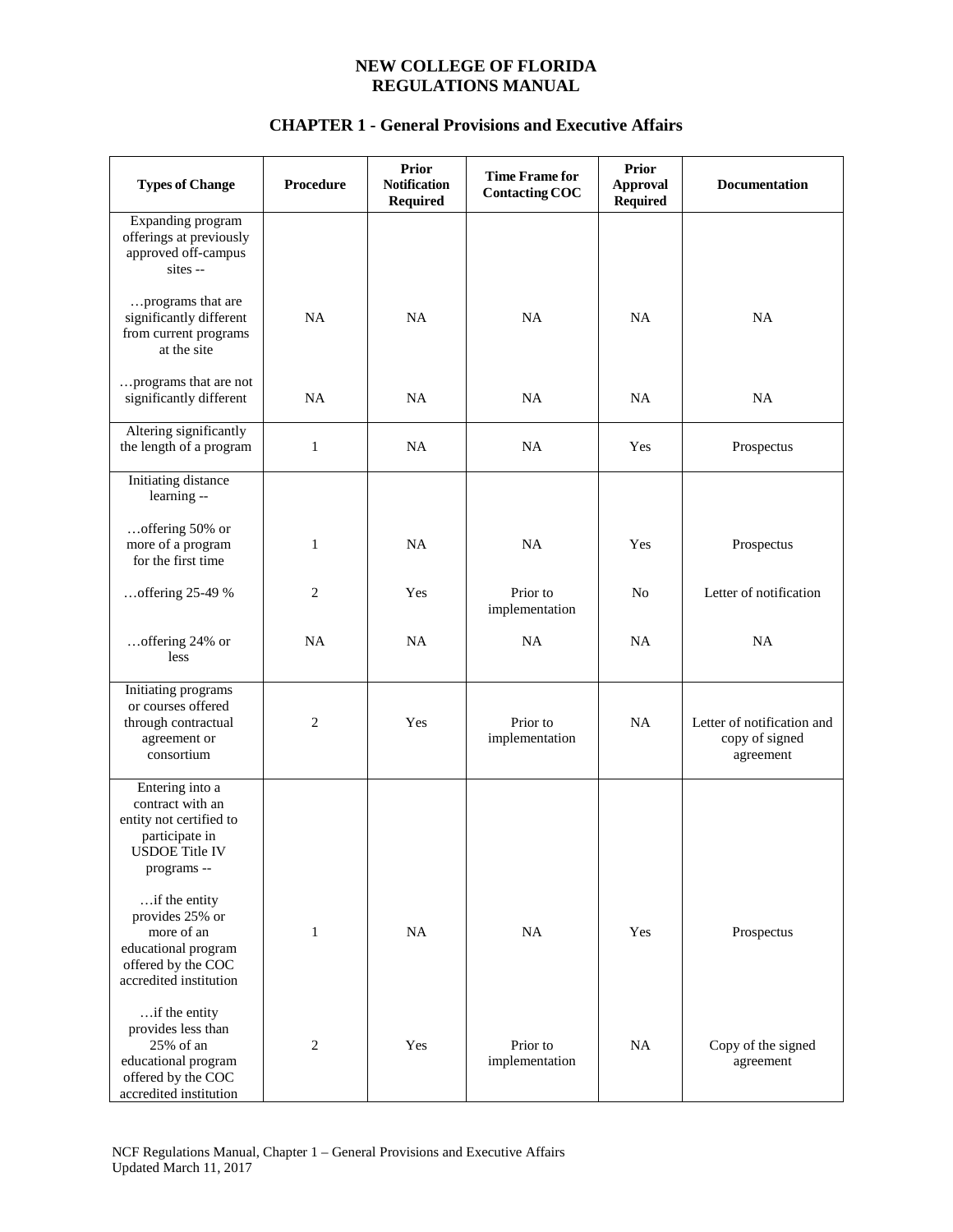| <b>Types of Change</b>                                                                                                   | <b>Procedure</b> | <b>Prior</b><br><b>Notification</b><br><b>Required</b> | <b>Time Frame for</b><br><b>Contacting COC</b> | <b>Prior</b><br><b>Approval</b><br><b>Required</b> | <b>Documentation</b>                                      |
|--------------------------------------------------------------------------------------------------------------------------|------------------|--------------------------------------------------------|------------------------------------------------|----------------------------------------------------|-----------------------------------------------------------|
| Expanding program<br>offerings at previously<br>approved off-campus<br>sites --                                          |                  |                                                        |                                                |                                                    |                                                           |
| programs that are<br>significantly different<br>from current programs<br>at the site                                     | NA               | NA                                                     | NA                                             | <b>NA</b>                                          | <b>NA</b>                                                 |
| programs that are not<br>significantly different                                                                         | <b>NA</b>        | <b>NA</b>                                              | <b>NA</b>                                      | <b>NA</b>                                          | <b>NA</b>                                                 |
| Altering significantly<br>the length of a program                                                                        | $\mathbf{1}$     | <b>NA</b>                                              | <b>NA</b>                                      | Yes                                                | Prospectus                                                |
| Initiating distance<br>learning --                                                                                       |                  |                                                        |                                                |                                                    |                                                           |
| offering 50% or<br>more of a program<br>for the first time                                                               | $\mathbf{1}$     | NA                                                     | NA                                             | Yes                                                | Prospectus                                                |
| offering 25-49 %                                                                                                         | $\overline{c}$   | Yes                                                    | Prior to<br>implementation                     | N <sub>o</sub>                                     | Letter of notification                                    |
| offering 24% or<br>less                                                                                                  | <b>NA</b>        | <b>NA</b>                                              | NA                                             | NA                                                 | <b>NA</b>                                                 |
| <b>Initiating</b> programs<br>or courses offered<br>through contractual<br>agreement or<br>consortium                    | $\overline{c}$   | Yes                                                    | Prior to<br>implementation                     | <b>NA</b>                                          | Letter of notification and<br>copy of signed<br>agreement |
| Entering into a<br>contract with an<br>entity not certified to<br>participate in<br><b>USDOE</b> Title IV<br>programs -- |                  |                                                        |                                                |                                                    |                                                           |
| if the entity<br>provides 25% or<br>more of an<br>educational program<br>offered by the COC<br>accredited institution    | $\mathbf{1}$     | NA                                                     | NA                                             | Yes                                                | Prospectus                                                |
| if the entity<br>provides less than<br>25% of an<br>educational program<br>offered by the COC<br>accredited institution  | $\mathbf{2}$     | Yes                                                    | Prior to<br>implementation                     | NA                                                 | Copy of the signed<br>agreement                           |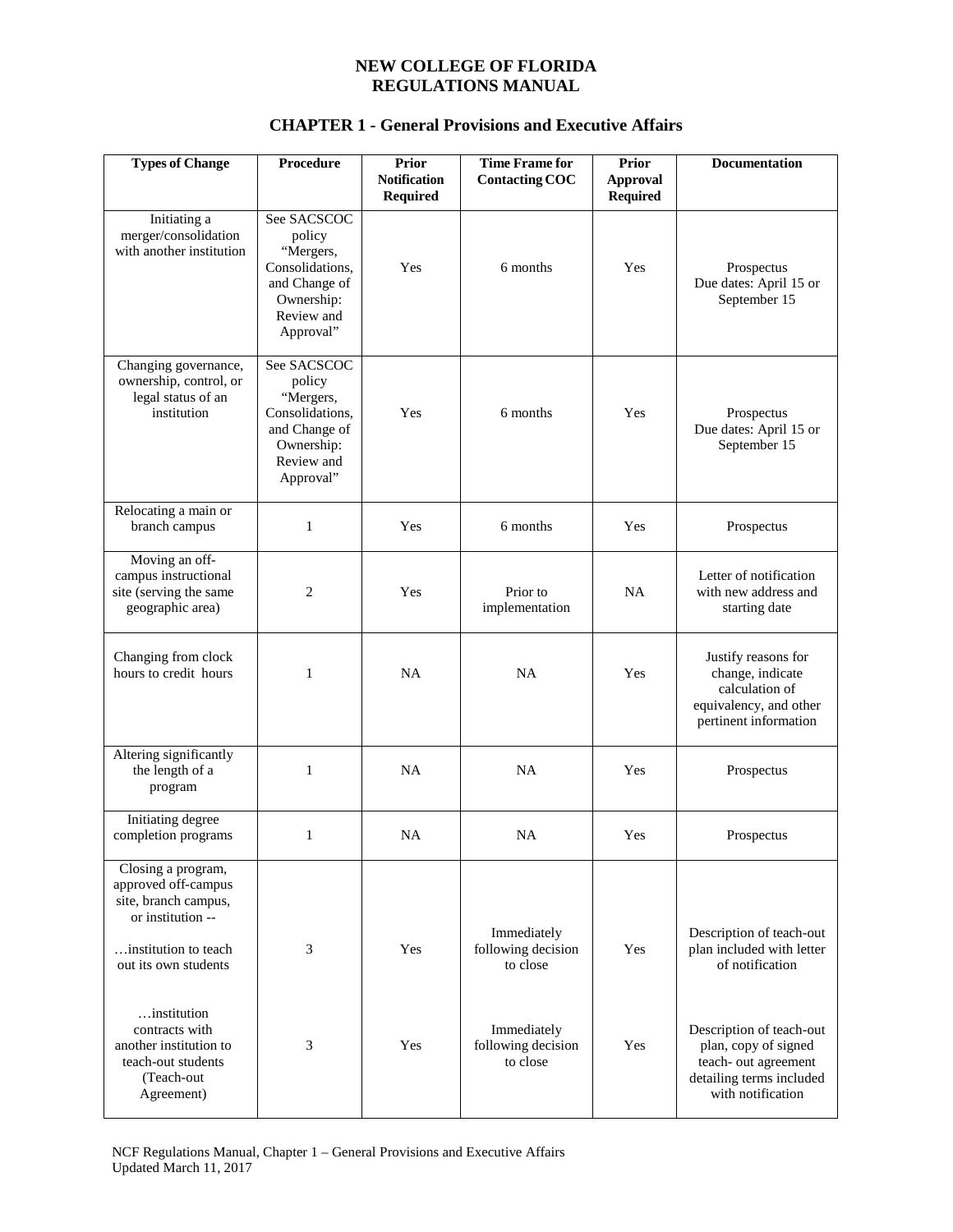| <b>Types of Change</b>                                                                                                                 | Procedure                                                                                                       | Prior<br><b>Notification</b><br><b>Required</b> | <b>Time Frame for</b><br><b>Contacting COC</b> | <b>Prior</b><br><b>Approval</b><br><b>Required</b> | Documentation                                                                                                             |
|----------------------------------------------------------------------------------------------------------------------------------------|-----------------------------------------------------------------------------------------------------------------|-------------------------------------------------|------------------------------------------------|----------------------------------------------------|---------------------------------------------------------------------------------------------------------------------------|
| Initiating a<br>merger/consolidation<br>with another institution                                                                       | See SACSCOC<br>policy<br>"Mergers,<br>Consolidations,<br>and Change of<br>Ownership:<br>Review and<br>Approval" | Yes                                             | 6 months                                       | Yes                                                | Prospectus<br>Due dates: April 15 or<br>September 15                                                                      |
| Changing governance,<br>ownership, control, or<br>legal status of an<br>institution                                                    | See SACSCOC<br>policy<br>"Mergers,<br>Consolidations,<br>and Change of<br>Ownership:<br>Review and<br>Approval" | Yes                                             | 6 months                                       | Yes                                                | Prospectus<br>Due dates: April 15 or<br>September 15                                                                      |
| Relocating a main or<br>branch campus                                                                                                  | 1                                                                                                               | Yes                                             | 6 months                                       | Yes                                                | Prospectus                                                                                                                |
| Moving an off-<br>campus instructional<br>site (serving the same<br>geographic area)                                                   | 2                                                                                                               | Yes                                             | Prior to<br>implementation                     | NA                                                 | Letter of notification<br>with new address and<br>starting date                                                           |
| Changing from clock<br>hours to credit hours                                                                                           | 1                                                                                                               | NA                                              | NA                                             | Yes                                                | Justify reasons for<br>change, indicate<br>calculation of<br>equivalency, and other<br>pertinent information              |
| Altering significantly<br>the length of a<br>program                                                                                   | 1                                                                                                               | <b>NA</b>                                       | NA                                             | Yes                                                | Prospectus                                                                                                                |
| Initiating degree<br>completion programs                                                                                               | 1                                                                                                               | <b>NA</b>                                       | <b>NA</b>                                      | Yes                                                | Prospectus                                                                                                                |
| Closing a program,<br>approved off-campus<br>site, branch campus,<br>or institution --<br>institution to teach<br>out its own students | 3                                                                                                               | Yes                                             | Immediately<br>following decision<br>to close  | Yes                                                | Description of teach-out<br>plan included with letter<br>of notification                                                  |
| institution<br>contracts with<br>another institution to<br>teach-out students<br>(Teach-out<br>Agreement)                              | 3                                                                                                               | Yes                                             | Immediately<br>following decision<br>to close  | Yes                                                | Description of teach-out<br>plan, copy of signed<br>teach- out agreement<br>detailing terms included<br>with notification |